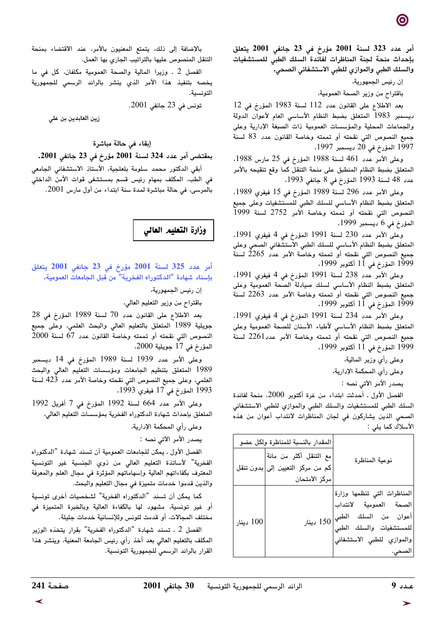أمر عدد 323 لسنة 2001 مؤرخ في 23 جانفي 2001 يتعلق بإحداث منحة لجنة المناظرات لفائدة السلك الطبى للمستشفيات والسلك الطبي والموازي للطبي الاستشفائي الصحي٠

إن رئيس الجمهورية،

باقتراح من وزير الصحة العمومية،

بعد الاطلاع على القانون عدد 112 لسنة 1983 المؤرخ في 12 ديسمبر 1983 المتعلق بضبط النظام الأساسى العام لأعوان الدولة والجماعات المحلية والمؤسسات العمومية ذات الصبغة الإدارية وعلى جميع النصوص التي نقحته أو تممته وخاصة القانون عدد 83 لسنة 1997 المؤرخ في 20 ديسمبر 1997،

وعلى الأمر عدد 461 لسنة 1988 المؤرخ في 25 مارس 1988، المتعلق بضبط النظام المنطبق على منحة التنقل كما وقع تنقيحه بالأمر عدد 48 لسنة 1993 المؤرخ في 8 جانفي 1993،

وعلى الأمر عدد 296 لسنة 1989 المؤرخ في 15 فيفري 1989. المتعلق بضبط النظام الأساسى للسلك الطبى للمستشفيات وعلى جميع النصوص التي نقحته أو تممته وخاصة الأمر 2752 لسنة 1999 المؤرخ في 6 ديسمبر 1999،

وعلى الأمر عدد 230 لسنة 1991 المؤرخ في 4 فيفري 1991. المتعلق بضبط النظام الأساسي للسلك الطبي الاستشفائي الصحى وعلى جميع النصوص التي نقحته أو تممته وخاصّة الأمر عدد 2265 لسنة<br>1999 المؤرخ في 11 أكتوبر 1999،

وعلى الأمر عدد 238 لسنة 1991 المؤرخ في 4 فيفرى 1991. المتعلق بضبط النظام الأساسى لسلك صيادلة الصحة العمومية وعلى 1999 المؤرخ في 11 أكتوبر 1999،

وعلى الأمر عدد 234 لسنة 1991 المؤرخ في 4 فيفري 1991. المتعلق بضبط النظام الأساسي لأطباء الأسنان للصحة العمومية وعلى جميع النصوص التى نقحته أو تممته وخاصة الأمر عدد2261 لسنة 1999 المؤرخ في 11 أكتوبر 1999،

وعلى رأى وزير المالية،

وعلى رأى المحكمة الإدارية،

يصدر الأمر الآتي نصه :

الفصل الأول . أحدثت ابتداء من غرة أكتوبر 2000، منحة لفائدة السلك الطبى للمستشفيات والسلك الطبي والموازي للطبي الاستشفائي الصحي الذين يشاركون في لجان المناظرات لانتداب أعوان من هذه الأسلاك كما يلي :

| المقدار بالنسبة للمناظرة ولكل عضو |                                                                             |                                                                                                                                                             |
|-----------------------------------|-----------------------------------------------------------------------------|-------------------------------------------------------------------------------------------------------------------------------------------------------------|
|                                   | مع التنقل أكثر من مائة<br>كم من مركز التعيين إلى بدون تنقل<br>مركز الامتحان | نوعية المناظرة                                                                                                                                              |
| 100 دينار                         |                                                                             | المناظرات التي تنظمها وزارة<br>الصحة العمومية لانتداب<br>أعوان من السلك الطبي $150$ دينار<br>للمستشفيات والسلك الطبى<br>والموازي للطبي الاستشفائي<br>الصحي. |

بالإضافة إلى ذلك، يتمتع المعنيون بالأمر، عند الاقتضاء بمنحة التنقل المنصوص عليها بالتراتيب الجاري بها العمل.

الفصل 2 . وزيرا المالية والصحة العمومية مكلفان، كل في ما يخصه بتنفيذ هذا الأمر الذي ينشر بالرائد الرسمي للجمهورية التونسية.

تونس في 23 جانفي 2001.

زين العابدين بن علي

## إبقاء في حالة مباشرة

بمقتضى أمر عدد 324 لسنة 2001 مؤرخ في 23 جانفي 2001.

أبقى الدكتور محمد سلومة بلعلجية، الأستاذ الاستشفائى الجامعى في الطب، المكلف بمهام رئيس قسم بمستشفى قوات الأمن الداخلي بالمرسى، في حالة مباشرة لمدة سنة ابتداء من أول مارس 2001.

وزارة التعليم العالي

أمر عدد 325 لسنة 2001 مؤرخ في 23 جانفي 2001 يتعلق بإسناد شهادة "الدكتوراه الفخرية" من قبل الجامعات العمومية.

إن رئيس الجمهورية،

باقتراح من وزير التعليم العالي،

بعد الاطلاع على القانون عدد 70 لسنة 1989 المؤرخ في 28 جويلية 1989 المتعلق بالتعليم العالى والبحث العلمى، وعلى جميع النصوص التي نقحته أو تممته وخاصة القانون عدد 67 لسنة 2000 المؤرخ في 17 جويلية 2000،

وعلى الأمر عدد 1939 لسنة 1989 المؤرخ في 14 ديسمبر 1989 المتعلق بتنظيم الجامعات ومؤسسات التعليم العالى والبحث العلمي، وعلى جميع النصوص التي نقحته وخاصة الأمر عدد 423 لسنة 1993 المؤرخ في 17 فيفري 1993،

وعلى الأمر عدد 664 لسنة 1992 المؤرخ في 7 أفريل 1992 المتعلق بإحداث شهادة الدكتوراه الفخرية بمؤسسات التعليم العالي،

وعلى رأي المحكمة الإدارية،

يصدر الأمر الآتي نصه :

الفصل الأول . يمكن للجامعات العمومية أن تسند شهادة "الدكتوراه الفخرية" لأساتذة التعليم العالي من ذوي الجنسية غير التونسية المعترف بكفاءاتهم العالية وإسهاماتهم المؤثرة في مجال العلم والمعرفة والذين قدموا خدمات متميزة في مجال التعليم والبحث.

كما يمكن أن تسند "الدكتوراه الفخرية" لشخصيات أخرى تونسية أو غير تونسية، مشهود لها بالكفاءة العالية وبالخبرة المتميزة في مختلف المجالات، أو قدمت لتونس وللإنسانية خدمات جليلة.

الفصل 2 . تسند شهادة "الدكتوراه الفخرية" بقرار يتخذه الوزير المكلف بالتعليم العالي بعد أخذ رأي رئيس الجامعة المعنية، وينشر هذا القرار بالرائد الرسمى للجمهورية التونسية.